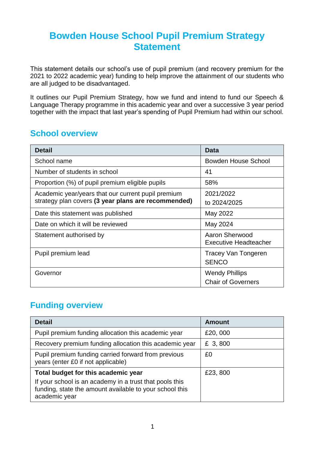## **Bowden House School Pupil Premium Strategy Statement**

This statement details our school's use of pupil premium (and recovery premium for the 2021 to 2022 academic year) funding to help improve the attainment of our students who are all judged to be disadvantaged.

It outlines our Pupil Premium Strategy, how we fund and intend to fund our Speech & Language Therapy programme in this academic year and over a successive 3 year period together with the impact that last year's spending of Pupil Premium had within our school.

#### **School overview**

| <b>Detail</b>                                       | Data                                           |
|-----------------------------------------------------|------------------------------------------------|
| School name                                         | Bowden House School                            |
| Number of students in school                        | 41                                             |
| Proportion (%) of pupil premium eligible pupils     | 58%                                            |
| Academic year/years that our current pupil premium  | 2021/2022                                      |
| strategy plan covers (3 year plans are recommended) | to 2024/2025                                   |
| Date this statement was published                   | May 2022                                       |
| Date on which it will be reviewed                   | May 2024                                       |
| Statement authorised by                             | Aaron Sherwood<br><b>Executive Headteacher</b> |
| Pupil premium lead                                  | <b>Tracey Van Tongeren</b><br><b>SENCO</b>     |
| Governor                                            | <b>Wendy Phillips</b>                          |
|                                                     | <b>Chair of Governers</b>                      |

#### **Funding overview**

| <b>Detail</b>                                                                                                                                                              | <b>Amount</b> |
|----------------------------------------------------------------------------------------------------------------------------------------------------------------------------|---------------|
| Pupil premium funding allocation this academic year                                                                                                                        | £20,000       |
| Recovery premium funding allocation this academic year                                                                                                                     | £ 3,800       |
| Pupil premium funding carried forward from previous<br>years (enter £0 if not applicable)                                                                                  | £0            |
| Total budget for this academic year<br>If your school is an academy in a trust that pools this<br>funding, state the amount available to your school this<br>academic year | £23,800       |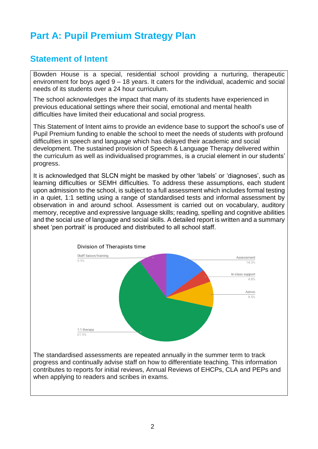# **Part A: Pupil Premium Strategy Plan**

#### **Statement of Intent**

Bowden House is a special, residential school providing a nurturing, therapeutic environment for boys aged 9 – 18 years. It caters for the individual, academic and social needs of its students over a 24 hour curriculum.

The school acknowledges the impact that many of its students have experienced in previous educational settings where their social, emotional and mental health difficulties have limited their educational and social progress.

This Statement of Intent aims to provide an evidence base to support the school's use of Pupil Premium funding to enable the school to meet the needs of students with profound difficulties in speech and language which has delayed their academic and social development. The sustained provision of Speech & Language Therapy delivered within the curriculum as well as individualised programmes, is a crucial element in our students' progress.

It is acknowledged that SLCN might be masked by other 'labels' or 'diagnoses', such as learning difficulties or SEMH difficulties. To address these assumptions, each student upon admission to the school, is subject to a full assessment which includes formal testing in a quiet, 1:1 setting using a range of standardised tests and informal assessment by observation in and around school. Assessment is carried out on vocabulary, auditory memory, receptive and expressive language skills; reading, spelling and cognitive abilities and the social use of language and social skills. A detailed report is written and a summary sheet 'pen portrait' is produced and distributed to all school staff.



The standardised assessments are repeated annually in the summer term to track progress and continually advise staff on how to differentiate teaching. This information contributes to reports for initial reviews, Annual Reviews of EHCPs, CLA and PEPs and when applying to readers and scribes in exams.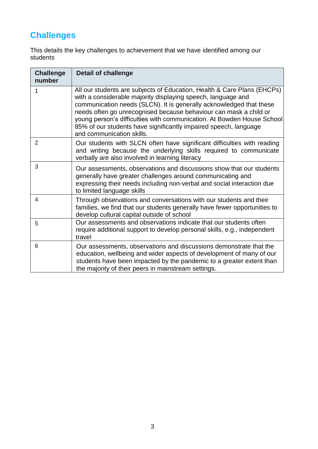## **Challenges**

This details the key challenges to achievement that we have identified among our students

| <b>Challenge</b><br>number | <b>Detail of challenge</b>                                                                                                                                                                                                                                                                                                                                                                                                                                     |
|----------------------------|----------------------------------------------------------------------------------------------------------------------------------------------------------------------------------------------------------------------------------------------------------------------------------------------------------------------------------------------------------------------------------------------------------------------------------------------------------------|
| 1                          | All our students are subjects of Education, Health & Care Plans (EHCPs)<br>with a considerable majority displaying speech, language and<br>communication needs (SLCN). It is generally acknowledged that these<br>needs often go unrecognised because behaviour can mask a child or<br>young person's difficulties with communication. At Bowden House School<br>85% of our students have significantly impaired speech, language<br>and communication skills. |
| 2                          | Our students with SLCN often have significant difficulties with reading<br>and writing because the underlying skills required to communicate<br>verbally are also involved in learning literacy                                                                                                                                                                                                                                                                |
| 3                          | Our assessments, observations and discussions show that our students<br>generally have greater challenges around communicating and<br>expressing their needs including non-verbal and social interaction due<br>to limited language skills                                                                                                                                                                                                                     |
| 4                          | Through observations and conversations with our students and their<br>families, we find that our students generally have fewer opportunities to<br>develop cultural capital outside of school                                                                                                                                                                                                                                                                  |
| 5                          | Our assessments and observations indicate that our students often<br>require additional support to develop personal skills, e.g., independent<br>travel                                                                                                                                                                                                                                                                                                        |
| 6                          | Our assessments, observations and discussions demonstrate that the<br>education, wellbeing and wider aspects of development of many of our<br>students have been impacted by the pandemic to a greater extent than<br>the majority of their peers in mainstream settings.                                                                                                                                                                                      |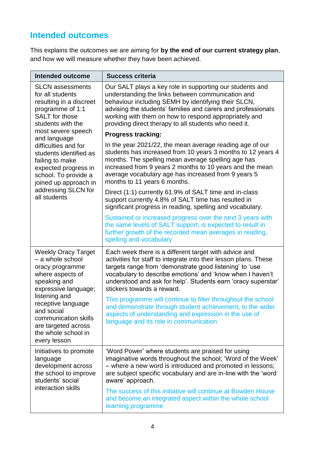### **Intended outcomes**

This explains the outcomes we are aiming for **by the end of our current strategy plan**, and how we will measure whether they have been achieved.

| <b>Intended outcome</b>                                                                                                                    | <b>Success criteria</b>                                                                                                                                                                                                                                                                                                                                |
|--------------------------------------------------------------------------------------------------------------------------------------------|--------------------------------------------------------------------------------------------------------------------------------------------------------------------------------------------------------------------------------------------------------------------------------------------------------------------------------------------------------|
| <b>SLCN</b> assessments<br>for all students<br>resulting in a discreet<br>programme of 1:1<br>SALT for those<br>students with the          | Our SALT plays a key role in supporting our students and<br>understanding the links between communication and<br>behaviour including SEMH by identifying their SLCN,<br>advising the students' families and carers and professionals<br>working with them on how to respond appropriately and<br>providing direct therapy to all students who need it. |
| most severe speech<br>and language                                                                                                         | <b>Progress tracking:</b>                                                                                                                                                                                                                                                                                                                              |
| difficulties and for<br>students identified as<br>failing to make<br>expected progress in<br>school. To provide a<br>joined up approach in | In the year 2021/22, the mean average reading age of our<br>students has increased from 10 years 3 months to 12 years 4<br>months. The spelling mean average spelling age has<br>increased from 9 years 2 months to 10 years and the mean<br>average vocabulary age has increased from 9 years 5<br>months to 11 years 6 months.                       |
| addressing SLCN for<br>all students                                                                                                        | Direct (1:1) currently 61.9% of SALT time and in-class<br>support currently 4.8% of SALT time has resulted in<br>significant progress in reading, spelling and vocabulary.                                                                                                                                                                             |
|                                                                                                                                            | Sustained or increased progress over the next 3 years with<br>the same levels of SALT support, is expected to result in<br>further growth of the recorded mean averages in reading,<br>spelling and vocabulary                                                                                                                                         |
| <b>Weekly Oracy Target</b><br>- a whole school<br>oracy programme<br>where aspects of<br>speaking and<br>expressive language;              | Each week there is a different target with advice and<br>activities for staff to integrate into their lesson plans. These<br>targets range from 'demonstrate good listening' to 'use<br>vocabulary to describe emotions' and 'know when I haven't<br>understood and ask for help'. Students earn 'oracy superstar'<br>stickers towards a reward.       |
| listening and<br>receptive language<br>and social<br>communication skills<br>are targeted across<br>the whole school in<br>every lesson    | This programme will continue to filter throughout the school<br>and demonstrate through student achievement, to the wider<br>aspects of understanding and expression in the use of<br>language and its role in communication                                                                                                                           |
| Initiatives to promote<br>language<br>development across<br>the school to improve<br>students' social                                      | 'Word Power' where students are praised for using<br>imaginative words throughout the school; 'Word of the Week'<br>- where a new word is introduced and promoted in lessons;<br>are subject specific vocabulary and are in-line with the 'word<br>aware' approach.                                                                                    |
| interaction skills                                                                                                                         | The success of this initiative will continue at Bowden House<br>and become an integrated aspect within the whole school<br>learning programme                                                                                                                                                                                                          |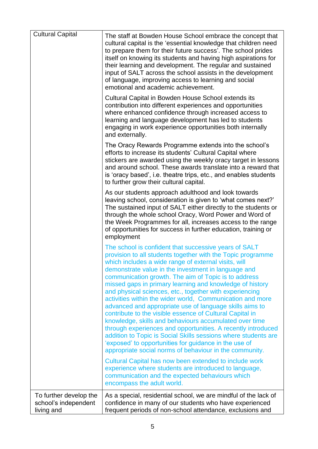| <b>Cultural Capital</b>                                      | The staff at Bowden House School embrace the concept that<br>cultural capital is the 'essential knowledge that children need<br>to prepare them for their future success'. The school prides<br>itself on knowing its students and having high aspirations for<br>their learning and development. The regular and sustained<br>input of SALT across the school assists in the development<br>of language, improving access to learning and social<br>emotional and academic achievement.                                                                                                                                                                                                                                                                                                                                                                                                                               |
|--------------------------------------------------------------|------------------------------------------------------------------------------------------------------------------------------------------------------------------------------------------------------------------------------------------------------------------------------------------------------------------------------------------------------------------------------------------------------------------------------------------------------------------------------------------------------------------------------------------------------------------------------------------------------------------------------------------------------------------------------------------------------------------------------------------------------------------------------------------------------------------------------------------------------------------------------------------------------------------------|
|                                                              | Cultural Capital in Bowden House School extends its<br>contribution into different experiences and opportunities<br>where enhanced confidence through increased access to<br>learning and language development has led to students<br>engaging in work experience opportunities both internally<br>and externally.                                                                                                                                                                                                                                                                                                                                                                                                                                                                                                                                                                                                     |
|                                                              | The Oracy Rewards Programme extends into the school's<br>efforts to increase its students' Cultural Capital where<br>stickers are awarded using the weekly oracy target in lessons<br>and around school. These awards translate into a reward that<br>is 'oracy based', i.e. theatre trips, etc., and enables students<br>to further grow their cultural capital.                                                                                                                                                                                                                                                                                                                                                                                                                                                                                                                                                      |
|                                                              | As our students approach adulthood and look towards<br>leaving school, consideration is given to 'what comes next?'<br>The sustained input of SALT either directly to the students or<br>through the whole school Oracy, Word Power and Word of<br>the Week Programmes for all, increases access to the range<br>of opportunities for success in further education, training or<br>employment                                                                                                                                                                                                                                                                                                                                                                                                                                                                                                                          |
|                                                              | The school is confident that successive years of SALT<br>provision to all students together with the Topic programme<br>which includes a wide range of external visits, will<br>demonstrate value in the investment in language and<br>communication growth. The aim of Topic is to address<br>missed gaps in primary learning and knowledge of history<br>and physical sciences, etc., together with experiencing<br>activities within the wider world, Communication and more<br>advanced and appropriate use of language skills aims to<br>contribute to the visible essence of Cultural Capital in<br>knowledge, skills and behaviours accumulated over time<br>through experiences and opportunities. A recently introduced<br>addition to Topic is Social Skills sessions where students are<br>'exposed' to opportunities for guidance in the use of<br>appropriate social norms of behaviour in the community. |
|                                                              | Cultural Capital has now been extended to include work<br>experience where students are introduced to language,<br>communication and the expected behaviours which<br>encompass the adult world.                                                                                                                                                                                                                                                                                                                                                                                                                                                                                                                                                                                                                                                                                                                       |
| To further develop the<br>school's independent<br>living and | As a special, residential school, we are mindful of the lack of<br>confidence in many of our students who have experienced<br>frequent periods of non-school attendance, exclusions and                                                                                                                                                                                                                                                                                                                                                                                                                                                                                                                                                                                                                                                                                                                                |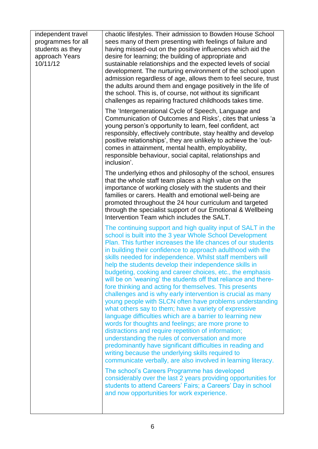| independent travel<br>programmes for all<br>students as they<br>approach Years<br>10/11/12 | chaotic lifestyles. Their admission to Bowden House School<br>sees many of them presenting with feelings of failure and<br>having missed-out on the positive influences which aid the<br>desire for learning; the building of appropriate and<br>sustainable relationships and the expected levels of social<br>development. The nurturing environment of the school upon<br>admission regardless of age, allows them to feel secure, trust<br>the adults around them and engage positively in the life of<br>the school. This is, of course, not without its significant<br>challenges as repairing fractured childhoods takes time.                                                                                                                                                                                                                                                                                                                                                                                                                                                                                                                                          |
|--------------------------------------------------------------------------------------------|--------------------------------------------------------------------------------------------------------------------------------------------------------------------------------------------------------------------------------------------------------------------------------------------------------------------------------------------------------------------------------------------------------------------------------------------------------------------------------------------------------------------------------------------------------------------------------------------------------------------------------------------------------------------------------------------------------------------------------------------------------------------------------------------------------------------------------------------------------------------------------------------------------------------------------------------------------------------------------------------------------------------------------------------------------------------------------------------------------------------------------------------------------------------------------|
|                                                                                            | The 'Intergenerational Cycle of Speech, Language and<br>Communication of Outcomes and Risks', cites that unless 'a<br>young person's opportunity to learn, feel confident, act<br>responsibly, effectively contribute, stay healthy and develop<br>positive relationships', they are unlikely to achieve the 'out-<br>comes in attainment, mental health, employability,<br>responsible behaviour, social capital, relationships and<br>inclusion'.                                                                                                                                                                                                                                                                                                                                                                                                                                                                                                                                                                                                                                                                                                                            |
|                                                                                            | The underlying ethos and philosophy of the school, ensures<br>that the whole staff team places a high value on the<br>importance of working closely with the students and their<br>families or carers. Health and emotional well-being are<br>promoted throughout the 24 hour curriculum and targeted<br>through the specialist support of our Emotional & Wellbeing<br>Intervention Team which includes the SALT.                                                                                                                                                                                                                                                                                                                                                                                                                                                                                                                                                                                                                                                                                                                                                             |
|                                                                                            | The continuing support and high quality input of SALT in the<br>school is built into the 3 year Whole School Development<br>Plan. This further increases the life chances of our students<br>in building their confidence to approach adulthood with the<br>skills needed for independence. Whilst staff members will<br>help the students develop their independence skills in<br>budgeting, cooking and career choices, etc., the emphasis<br>will be on 'weaning' the students off that reliance and there-<br>fore thinking and acting for themselves. This presents<br>challenges and is why early intervention is crucial as many<br>young people with SLCN often have problems understanding<br>what others say to them; have a variety of expressive<br>language difficulties which are a barrier to learning new<br>words for thoughts and feelings; are more prone to<br>distractions and require repetition of information;<br>understanding the rules of conversation and more<br>predominantly have significant difficulties in reading and<br>writing because the underlying skills required to<br>communicate verbally, are also involved in learning literacy. |
|                                                                                            | The school's Careers Programme has developed<br>considerably over the last 2 years providing opportunities for<br>students to attend Careers' Fairs; a Careers' Day in school<br>and now opportunities for work experience.                                                                                                                                                                                                                                                                                                                                                                                                                                                                                                                                                                                                                                                                                                                                                                                                                                                                                                                                                    |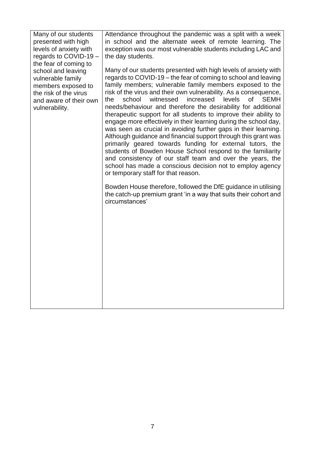| Many of our students<br>presented with high<br>levels of anxiety with<br>regards to COVID-19 -<br>the fear of coming to<br>school and leaving | Attendance throughout the pandemic was a split with a week<br>in school and the alternate week of remote learning. The<br>exception was our most vulnerable students including LAC and<br>the day students.<br>Many of our students presented with high levels of anxiety with                                                                                                                                                                                                                                                                                                                                                                                                                                                                                                                                                                                                                                            |
|-----------------------------------------------------------------------------------------------------------------------------------------------|---------------------------------------------------------------------------------------------------------------------------------------------------------------------------------------------------------------------------------------------------------------------------------------------------------------------------------------------------------------------------------------------------------------------------------------------------------------------------------------------------------------------------------------------------------------------------------------------------------------------------------------------------------------------------------------------------------------------------------------------------------------------------------------------------------------------------------------------------------------------------------------------------------------------------|
| vulnerable family<br>members exposed to<br>the risk of the virus<br>and aware of their own<br>vulnerability.                                  | regards to COVID-19 – the fear of coming to school and leaving<br>family members; vulnerable family members exposed to the<br>risk of the virus and their own vulnerability. As a consequence,<br>school<br>witnessed<br>increased<br>levels<br>the<br><b>of</b><br><b>SEMH</b><br>needs/behaviour and therefore the desirability for additional<br>therapeutic support for all students to improve their ability to<br>engage more effectively in their learning during the school day,<br>was seen as crucial in avoiding further gaps in their learning.<br>Although guidance and financial support through this grant was<br>primarily geared towards funding for external tutors, the<br>students of Bowden House School respond to the familiarity<br>and consistency of our staff team and over the years, the<br>school has made a conscious decision not to employ agency<br>or temporary staff for that reason. |
|                                                                                                                                               | Bowden House therefore, followed the DfE guidance in utilising<br>the catch-up premium grant 'in a way that suits their cohort and<br>circumstances'                                                                                                                                                                                                                                                                                                                                                                                                                                                                                                                                                                                                                                                                                                                                                                      |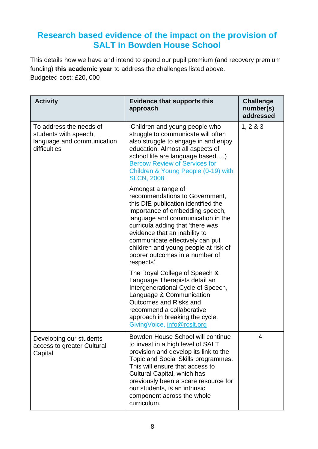#### **Research based evidence of the impact on the provision of SALT in Bowden House School**

This details how we have and intend to spend our pupil premium (and recovery premium funding) **this academic year** to address the challenges listed above. Budgeted cost: £20, 000

| <b>Activity</b>                                                                                | <b>Evidence that supports this</b><br>approach                                                                                                                                                                                                                                                                                                                      | <b>Challenge</b><br>number(s)<br>addressed |
|------------------------------------------------------------------------------------------------|---------------------------------------------------------------------------------------------------------------------------------------------------------------------------------------------------------------------------------------------------------------------------------------------------------------------------------------------------------------------|--------------------------------------------|
| To address the needs of<br>students with speech,<br>language and communication<br>difficulties | 'Children and young people who<br>struggle to communicate will often<br>also struggle to engage in and enjoy<br>education. Almost all aspects of<br>school life are language based)<br><b>Bercow Review of Services for</b><br>Children & Young People (0-19) with<br><b>SLCN, 2008</b>                                                                             | 1, 2 & 3                                   |
|                                                                                                | Amongst a range of<br>recommendations to Government,<br>this DfE publication identified the<br>importance of embedding speech,<br>language and communication in the<br>curricula adding that 'there was<br>evidence that an inability to<br>communicate effectively can put<br>children and young people at risk of<br>poorer outcomes in a number of<br>respects'. |                                            |
|                                                                                                | The Royal College of Speech &<br>Language Therapists detail an<br>Intergenerational Cycle of Speech,<br>Language & Communication<br>Outcomes and Risks and<br>recommend a collaborative<br>approach in breaking the cycle.<br>GivingVoice, info@rcslt.org                                                                                                           |                                            |
| Developing our students<br>access to greater Cultural<br>Capital                               | Bowden House School will continue<br>to invest in a high level of SALT<br>provision and develop its link to the<br>Topic and Social Skills programmes.<br>This will ensure that access to<br>Cultural Capital, which has<br>previously been a scare resource for<br>our students, is an intrinsic<br>component across the whole<br>curriculum.                      | 4                                          |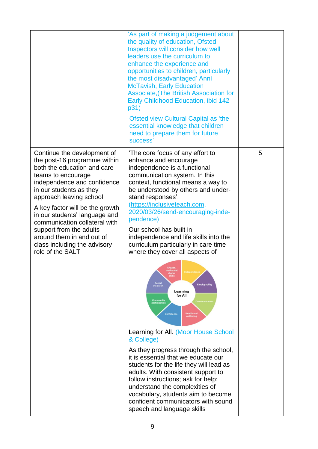|                                                                                                                                                                                                                                                                                                                                                                                                                        | 'As part of making a judgement about<br>the quality of education, Ofsted<br>Inspectors will consider how well<br>leaders use the curriculum to<br>enhance the experience and<br>opportunities to children, particularly<br>the most disadvantaged' Anni<br><b>McTavish, Early Education</b><br>Associate, (The British Association for<br>Early Childhood Education, ibid 142<br>p31)<br>Ofsted view Cultural Capital as 'the<br>essential knowledge that children<br>need to prepare them for future<br>success' |   |
|------------------------------------------------------------------------------------------------------------------------------------------------------------------------------------------------------------------------------------------------------------------------------------------------------------------------------------------------------------------------------------------------------------------------|-------------------------------------------------------------------------------------------------------------------------------------------------------------------------------------------------------------------------------------------------------------------------------------------------------------------------------------------------------------------------------------------------------------------------------------------------------------------------------------------------------------------|---|
| Continue the development of<br>the post-16 programme within<br>both the education and care<br>teams to encourage<br>independence and confidence<br>in our students as they<br>approach leaving school<br>A key factor will be the growth<br>in our students' language and<br>communication collateral with<br>support from the adults<br>around them in and out of<br>class including the advisory<br>role of the SALT | 'The core focus of any effort to<br>enhance and encourage<br>independence is a functional<br>communication system. In this<br>context, functional means a way to<br>be understood by others and under-<br>stand responses'.<br>(https://inclusiveteach.com,<br>2020/03/26/send-encouraging-inde-<br>pendence)<br>Our school has built in<br>independence and life skills into the<br>curriculum particularly in care time<br>where they cover all aspects of                                                      | 5 |
|                                                                                                                                                                                                                                                                                                                                                                                                                        | Foolish<br>naths and<br>Independent<br>digital<br>skills<br>Social<br>inclusion<br><b>Employability</b><br>Learning<br>for All<br><b>Community</b><br>participation<br><b>Confidence</b><br><b>Health and</b><br>Learning for All. (Moor House School<br>& College)                                                                                                                                                                                                                                               |   |
|                                                                                                                                                                                                                                                                                                                                                                                                                        | As they progress through the school,<br>it is essential that we educate our<br>students for the life they will lead as<br>adults. With consistent support to<br>follow instructions; ask for help;<br>understand the complexities of<br>vocabulary, students aim to become<br>confident communicators with sound<br>speech and language skills                                                                                                                                                                    |   |